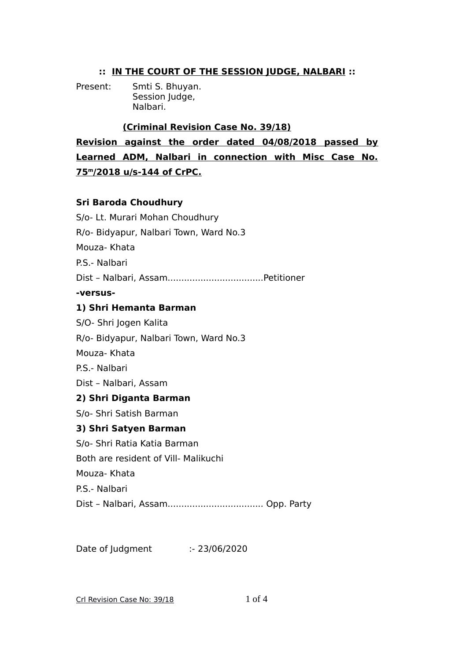## **:: IN THE COURT OF THE SESSION JUDGE, NALBARI ::**

Present: Smti S. Bhuyan. Session Judge, Nalbari.

## **(Criminal Revision Case No. 39/18)**

**Revision against the order dated 04/08/2018 passed by Learned ADM, Nalbari in connection with Misc Case No. 75<sup>m</sup> /2018 u/s-144 of CrPC.**

## **Sri Baroda Choudhury**

| S/o- Lt. Murari Mohan Choudhury        |
|----------------------------------------|
| R/o- Bidyapur, Nalbari Town, Ward No.3 |
| Mouza-Khata                            |
| P.S.- Nalbari                          |
|                                        |
| -versus-                               |
| 1) Shri Hemanta Barman                 |
| S/O- Shri Jogen Kalita                 |
| R/o- Bidyapur, Nalbari Town, Ward No.3 |
| Mouza-Khata                            |
| P.S.- Nalbari                          |
| Dist - Nalbari, Assam                  |
| 2) Shri Diganta Barman                 |
| S/o- Shri Satish Barman                |
| 3) Shri Satyen Barman                  |
| S/o- Shri Ratia Katia Barman           |
| Both are resident of Vill- Malikuchi   |
| Mouza-Khata                            |
| P.S.- Nalbari                          |
|                                        |
|                                        |

Date of Judgment :- 23/06/2020

Crl Revision Case No: 39/18 1 of 4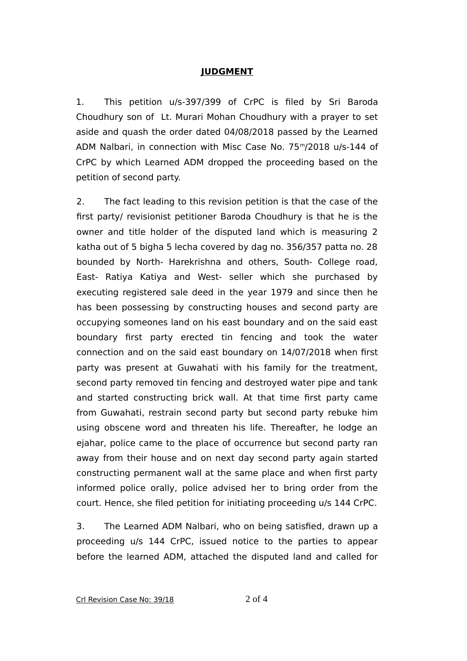## **JUDGMENT**

1. This petition u/s-397/399 of CrPC is filed by Sri Baroda Choudhury son of Lt. Murari Mohan Choudhury with a prayer to set aside and quash the order dated 04/08/2018 passed by the Learned ADM Nalbari, in connection with Misc Case No. 75<sup>m</sup>/2018 u/s-144 of CrPC by which Learned ADM dropped the proceeding based on the petition of second party.

2. The fact leading to this revision petition is that the case of the first party/ revisionist petitioner Baroda Choudhury is that he is the owner and title holder of the disputed land which is measuring 2 katha out of 5 bigha 5 lecha covered by dag no. 356/357 patta no. 28 bounded by North- Harekrishna and others, South- College road, East- Ratiya Katiya and West- seller which she purchased by executing registered sale deed in the year 1979 and since then he has been possessing by constructing houses and second party are occupying someones land on his east boundary and on the said east boundary first party erected tin fencing and took the water connection and on the said east boundary on 14/07/2018 when first party was present at Guwahati with his family for the treatment, second party removed tin fencing and destroyed water pipe and tank and started constructing brick wall. At that time first party came from Guwahati, restrain second party but second party rebuke him using obscene word and threaten his life. Thereafter, he lodge an ejahar, police came to the place of occurrence but second party ran away from their house and on next day second party again started constructing permanent wall at the same place and when first party informed police orally, police advised her to bring order from the court. Hence, she filed petition for initiating proceeding u/s 144 CrPC.

3. The Learned ADM Nalbari, who on being satisfied, drawn up a proceeding u/s 144 CrPC, issued notice to the parties to appear before the learned ADM, attached the disputed land and called for

Crl Revision Case No: 39/18 2 of 4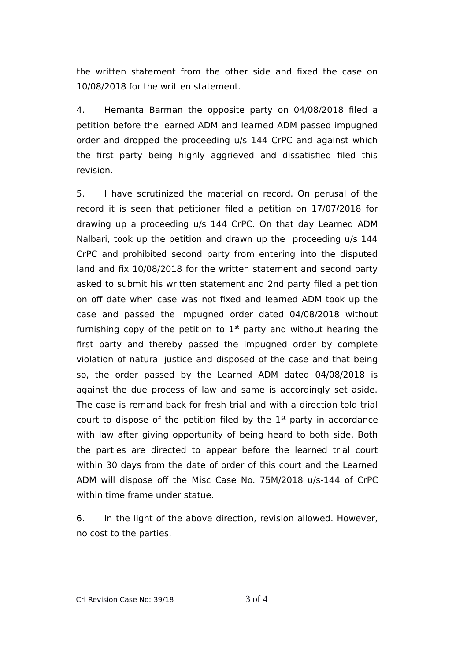the written statement from the other side and fixed the case on 10/08/2018 for the written statement.

4. Hemanta Barman the opposite party on 04/08/2018 filed a petition before the learned ADM and learned ADM passed impugned order and dropped the proceeding u/s 144 CrPC and against which the first party being highly aggrieved and dissatisfied filed this revision.

5. I have scrutinized the material on record. On perusal of the record it is seen that petitioner filed a petition on 17/07/2018 for drawing up a proceeding u/s 144 CrPC. On that day Learned ADM Nalbari, took up the petition and drawn up the proceeding u/s 144 CrPC and prohibited second party from entering into the disputed land and fix 10/08/2018 for the written statement and second party asked to submit his written statement and 2nd party filed a petition on off date when case was not fixed and learned ADM took up the case and passed the impugned order dated 04/08/2018 without furnishing copy of the petition to  $1<sup>st</sup>$  party and without hearing the first party and thereby passed the impugned order by complete violation of natural justice and disposed of the case and that being so, the order passed by the Learned ADM dated 04/08/2018 is against the due process of law and same is accordingly set aside. The case is remand back for fresh trial and with a direction told trial court to dispose of the petition filed by the  $1<sup>st</sup>$  party in accordance with law after giving opportunity of being heard to both side. Both the parties are directed to appear before the learned trial court within 30 days from the date of order of this court and the Learned ADM will dispose off the Misc Case No. 75M/2018 u/s-144 of CrPC within time frame under statue.

6. In the light of the above direction, revision allowed. However, no cost to the parties.